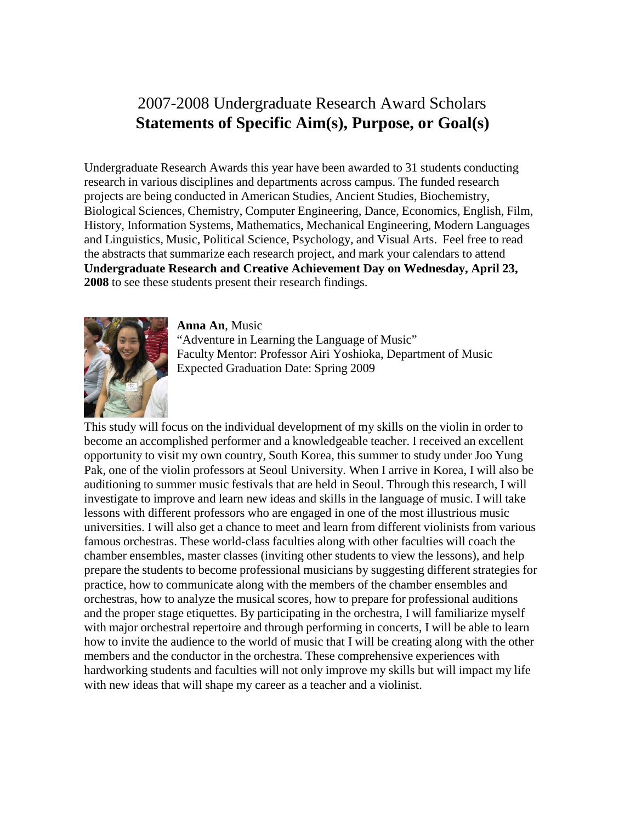# 2007-2008 Undergraduate Research Award Scholars **Statements of Specific Aim(s), Purpose, or Goal(s)**

Undergraduate Research Awards this year have been awarded to 31 students conducting research in various disciplines and departments across campus. The funded research projects are being conducted in American Studies, Ancient Studies, Biochemistry, Biological Sciences, Chemistry, Computer Engineering, Dance, Economics, English, Film, History, Information Systems, Mathematics, Mechanical Engineering, Modern Languages and Linguistics, Music, Political Science, Psychology, and Visual Arts. Feel free to read the abstracts that summarize each research project, and mark your calendars to attend **Undergraduate Research and Creative Achievement Day on Wednesday, April 23, 2008** to see these students present their research findings.



**Anna An**, Music "Adventure in Learning the Language of Music" Faculty Mentor: Professor Airi Yoshioka, Department of Music Expected Graduation Date: Spring 2009

This study will focus on the individual development of my skills on the violin in order to become an accomplished performer and a knowledgeable teacher. I received an excellent opportunity to visit my own country, South Korea, this summer to study under Joo Yung Pak, one of the violin professors at Seoul University. When I arrive in Korea, I will also be auditioning to summer music festivals that are held in Seoul. Through this research, I will investigate to improve and learn new ideas and skills in the language of music. I will take lessons with different professors who are engaged in one of the most illustrious music universities. I will also get a chance to meet and learn from different violinists from various famous orchestras. These world-class faculties along with other faculties will coach the chamber ensembles, master classes (inviting other students to view the lessons), and help prepare the students to become professional musicians by suggesting different strategies for practice, how to communicate along with the members of the chamber ensembles and orchestras, how to analyze the musical scores, how to prepare for professional auditions and the proper stage etiquettes. By participating in the orchestra, I will familiarize myself with major orchestral repertoire and through performing in concerts, I will be able to learn how to invite the audience to the world of music that I will be creating along with the other members and the conductor in the orchestra. These comprehensive experiences with hardworking students and faculties will not only improve my skills but will impact my life with new ideas that will shape my career as a teacher and a violinist.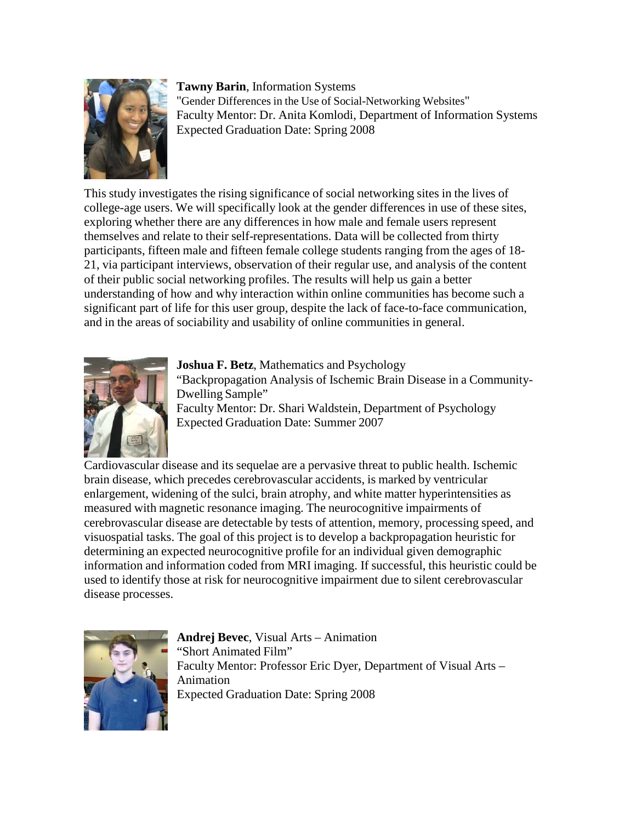

**Tawny Barin**, Information Systems "Gender Differences in the Use of Social-Networking Websites" Faculty Mentor: Dr. Anita Komlodi, Department of Information Systems Expected Graduation Date: Spring 2008

This study investigates the rising significance of social networking sites in the lives of college-age users. We will specifically look at the gender differences in use of these sites, exploring whether there are any differences in how male and female users represent themselves and relate to their self-representations. Data will be collected from thirty participants, fifteen male and fifteen female college students ranging from the ages of 18- 21, via participant interviews, observation of their regular use, and analysis of the content of their public social networking profiles. The results will help us gain a better understanding of how and why interaction within online communities has become such a significant part of life for this user group, despite the lack of face-to-face communication, and in the areas of sociability and usability of online communities in general.



**Joshua F. Betz**, Mathematics and Psychology "Backpropagation Analysis of Ischemic Brain Disease in a Community-Dwelling Sample" Faculty Mentor: Dr. Shari Waldstein, Department of Psychology Expected Graduation Date: Summer 2007

Cardiovascular disease and its sequelae are a pervasive threat to public health. Ischemic brain disease, which precedes cerebrovascular accidents, is marked by ventricular enlargement, widening of the sulci, brain atrophy, and white matter hyperintensities as measured with magnetic resonance imaging. The neurocognitive impairments of cerebrovascular disease are detectable by tests of attention, memory, processing speed, and visuospatial tasks. The goal of this project is to develop a backpropagation heuristic for determining an expected neurocognitive profile for an individual given demographic information and information coded from MRI imaging. If successful, this heuristic could be used to identify those at risk for neurocognitive impairment due to silent cerebrovascular disease processes.



**Andrej Bevec**, Visual Arts – Animation "Short Animated Film" Faculty Mentor: Professor Eric Dyer, Department of Visual Arts – Animation Expected Graduation Date: Spring 2008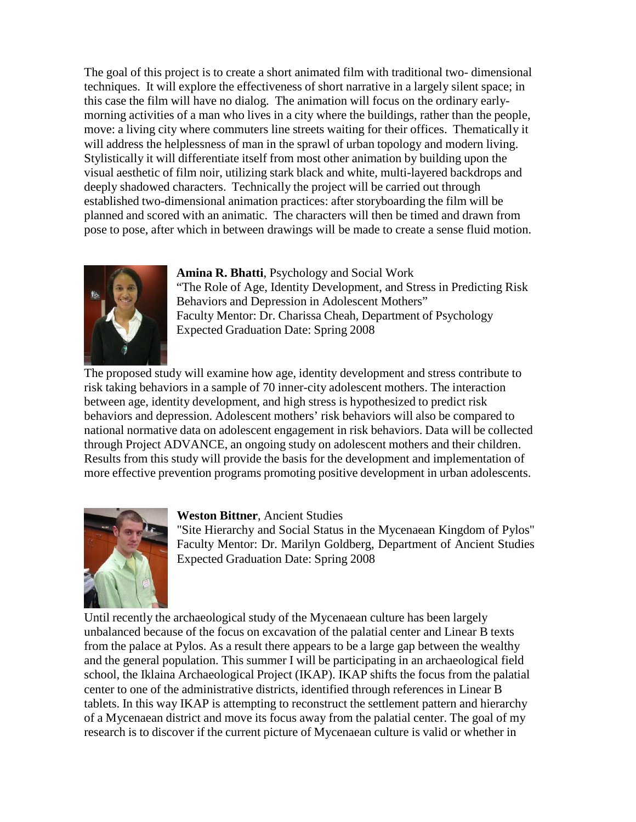The goal of this project is to create a short animated film with traditional two- dimensional techniques. It will explore the effectiveness of short narrative in a largely silent space; in this case the film will have no dialog. The animation will focus on the ordinary earlymorning activities of a man who lives in a city where the buildings, rather than the people, move: a living city where commuters line streets waiting for their offices. Thematically it will address the helplessness of man in the sprawl of urban topology and modern living. Stylistically it will differentiate itself from most other animation by building upon the visual aesthetic of film noir, utilizing stark black and white, multi-layered backdrops and deeply shadowed characters. Technically the project will be carried out through established two-dimensional animation practices: after storyboarding the film will be planned and scored with an animatic. The characters will then be timed and drawn from pose to pose, after which in between drawings will be made to create a sense fluid motion.



**Amina R. Bhatti**, Psychology and Social Work "The Role of Age, Identity Development, and Stress in Predicting Risk Behaviors and Depression in Adolescent Mothers" Faculty Mentor: Dr. Charissa Cheah, Department of Psychology Expected Graduation Date: Spring 2008

The proposed study will examine how age, identity development and stress contribute to risk taking behaviors in a sample of 70 inner-city adolescent mothers. The interaction between age, identity development, and high stress is hypothesized to predict risk behaviors and depression. Adolescent mothers' risk behaviors will also be compared to national normative data on adolescent engagement in risk behaviors. Data will be collected through Project ADVANCE, an ongoing study on adolescent mothers and their children. Results from this study will provide the basis for the development and implementation of more effective prevention programs promoting positive development in urban adolescents.



#### **Weston Bittner**, Ancient Studies

"Site Hierarchy and Social Status in the Mycenaean Kingdom of Pylos" Faculty Mentor: Dr. Marilyn Goldberg, Department of Ancient Studies Expected Graduation Date: Spring 2008

Until recently the archaeological study of the Mycenaean culture has been largely unbalanced because of the focus on excavation of the palatial center and Linear B texts from the palace at Pylos. As a result there appears to be a large gap between the wealthy and the general population. This summer I will be participating in an archaeological field school, the Iklaina Archaeological Project (IKAP). IKAP shifts the focus from the palatial center to one of the administrative districts, identified through references in Linear B tablets. In this way IKAP is attempting to reconstruct the settlement pattern and hierarchy of a Mycenaean district and move its focus away from the palatial center. The goal of my research is to discover if the current picture of Mycenaean culture is valid or whether in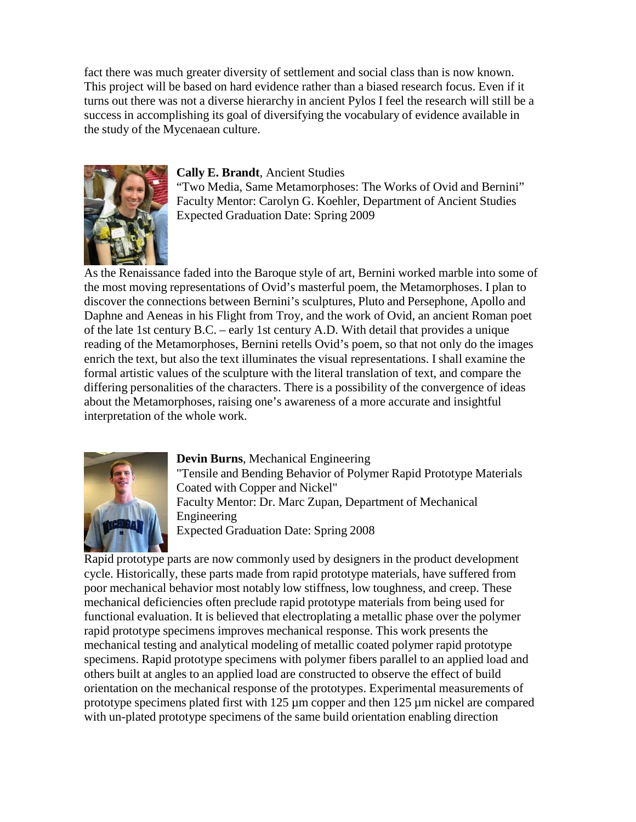fact there was much greater diversity of settlement and social class than is now known. This project will be based on hard evidence rather than a biased research focus. Even if it turns out there was not a diverse hierarchy in ancient Pylos I feel the research will still be a success in accomplishing its goal of diversifying the vocabulary of evidence available in the study of the Mycenaean culture.



#### **Cally E. Brandt**, Ancient Studies

"Two Media, Same Metamorphoses: The Works of Ovid and Bernini" Faculty Mentor: Carolyn G. Koehler, Department of Ancient Studies Expected Graduation Date: Spring 2009

As the Renaissance faded into the Baroque style of art, Bernini worked marble into some of the most moving representations of Ovid's masterful poem, the Metamorphoses. I plan to discover the connections between Bernini's sculptures, Pluto and Persephone, Apollo and Daphne and Aeneas in his Flight from Troy, and the work of Ovid, an ancient Roman poet of the late 1st century B.C. – early 1st century A.D. With detail that provides a unique reading of the Metamorphoses, Bernini retells Ovid's poem, so that not only do the images enrich the text, but also the text illuminates the visual representations. I shall examine the formal artistic values of the sculpture with the literal translation of text, and compare the differing personalities of the characters. There is a possibility of the convergence of ideas about the Metamorphoses, raising one's awareness of a more accurate and insightful interpretation of the whole work.



# **Devin Burns**, Mechanical Engineering

"Tensile and Bending Behavior of Polymer Rapid Prototype Materials Coated with Copper and Nickel" Faculty Mentor: Dr. Marc Zupan, Department of Mechanical Engineering Expected Graduation Date: Spring 2008

Rapid prototype parts are now commonly used by designers in the product development cycle. Historically, these parts made from rapid prototype materials, have suffered from poor mechanical behavior most notably low stiffness, low toughness, and creep. These mechanical deficiencies often preclude rapid prototype materials from being used for functional evaluation. It is believed that electroplating a metallic phase over the polymer rapid prototype specimens improves mechanical response. This work presents the mechanical testing and analytical modeling of metallic coated polymer rapid prototype specimens. Rapid prototype specimens with polymer fibers parallel to an applied load and others built at angles to an applied load are constructed to observe the effect of build orientation on the mechanical response of the prototypes. Experimental measurements of prototype specimens plated first with 125  $\mu$ m copper and then 125  $\mu$ m nickel are compared with un-plated prototype specimens of the same build orientation enabling direction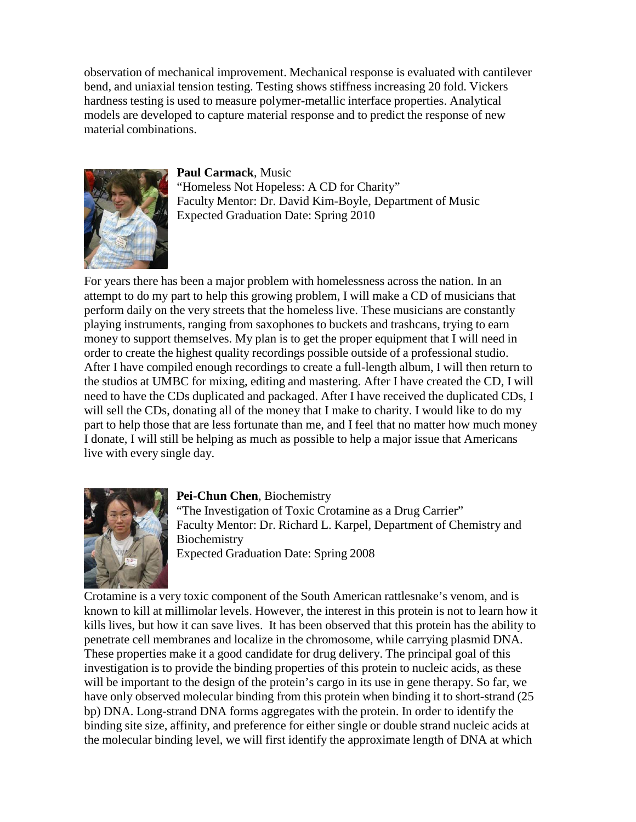observation of mechanical improvement. Mechanical response is evaluated with cantilever bend, and uniaxial tension testing. Testing shows stiffness increasing 20 fold. Vickers hardness testing is used to measure polymer-metallic interface properties. Analytical models are developed to capture material response and to predict the response of new material combinations.



**Paul Carmack**, Music "Homeless Not Hopeless: A CD for Charity" Faculty Mentor: Dr. David Kim-Boyle, Department of Music Expected Graduation Date: Spring 2010

For years there has been a major problem with homelessness across the nation. In an attempt to do my part to help this growing problem, I will make a CD of musicians that perform daily on the very streets that the homeless live. These musicians are constantly playing instruments, ranging from saxophones to buckets and trashcans, trying to earn money to support themselves. My plan is to get the proper equipment that I will need in order to create the highest quality recordings possible outside of a professional studio. After I have compiled enough recordings to create a full-length album, I will then return to the studios at UMBC for mixing, editing and mastering. After I have created the CD, I will need to have the CDs duplicated and packaged. After I have received the duplicated CDs, I will sell the CDs, donating all of the money that I make to charity. I would like to do my part to help those that are less fortunate than me, and I feel that no matter how much money I donate, I will still be helping as much as possible to help a major issue that Americans live with every single day.



# **Pei-Chun Chen**, Biochemistry

"The Investigation of Toxic Crotamine as a Drug Carrier" Faculty Mentor: Dr. Richard L. Karpel, Department of Chemistry and Biochemistry Expected Graduation Date: Spring 2008

Crotamine is a very toxic component of the South American rattlesnake's venom, and is known to kill at millimolar levels. However, the interest in this protein is not to learn how it kills lives, but how it can save lives. It has been observed that this protein has the ability to penetrate cell membranes and localize in the chromosome, while carrying plasmid DNA. These properties make it a good candidate for drug delivery. The principal goal of this investigation is to provide the binding properties of this protein to nucleic acids, as these will be important to the design of the protein's cargo in its use in gene therapy. So far, we have only observed molecular binding from this protein when binding it to short-strand (25 bp) DNA. Long-strand DNA forms aggregates with the protein. In order to identify the binding site size, affinity, and preference for either single or double strand nucleic acids at the molecular binding level, we will first identify the approximate length of DNA at which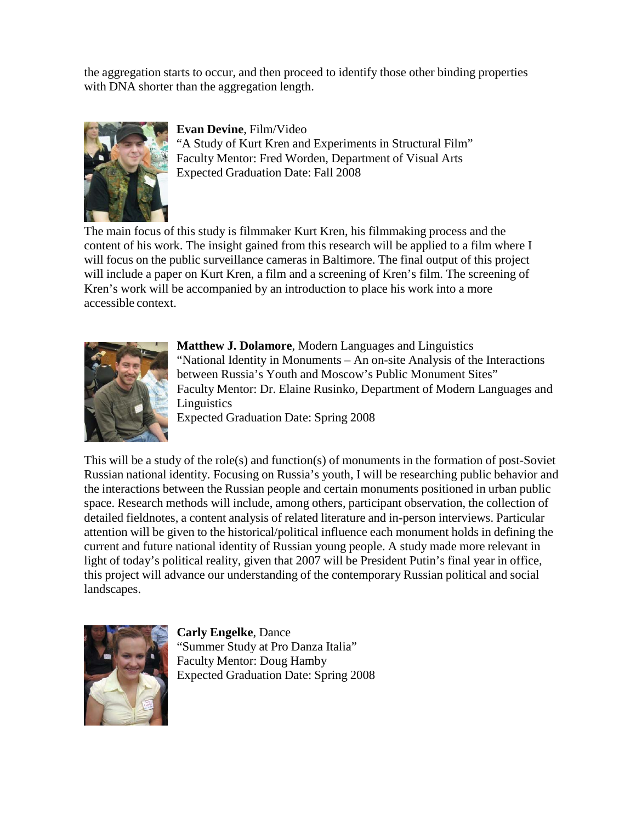the aggregation starts to occur, and then proceed to identify those other binding properties with DNA shorter than the aggregation length.



**Evan Devine**, Film/Video "A Study of Kurt Kren and Experiments in Structural Film" Faculty Mentor: Fred Worden, Department of Visual Arts Expected Graduation Date: Fall 2008

The main focus of this study is filmmaker Kurt Kren, his filmmaking process and the content of his work. The insight gained from this research will be applied to a film where I will focus on the public surveillance cameras in Baltimore. The final output of this project will include a paper on Kurt Kren, a film and a screening of Kren's film. The screening of Kren's work will be accompanied by an introduction to place his work into a more accessible context.



**Matthew J. Dolamore**, Modern Languages and Linguistics "National Identity in Monuments – An on-site Analysis of the Interactions between Russia's Youth and Moscow's Public Monument Sites" Faculty Mentor: Dr. Elaine Rusinko, Department of Modern Languages and **Linguistics** 

Expected Graduation Date: Spring 2008

This will be a study of the role(s) and function(s) of monuments in the formation of post-Soviet Russian national identity. Focusing on Russia's youth, I will be researching public behavior and the interactions between the Russian people and certain monuments positioned in urban public space. Research methods will include, among others, participant observation, the collection of detailed fieldnotes, a content analysis of related literature and in-person interviews. Particular attention will be given to the historical/political influence each monument holds in defining the current and future national identity of Russian young people. A study made more relevant in light of today's political reality, given that 2007 will be President Putin's final year in office, this project will advance our understanding of the contemporary Russian political and social landscapes.



**Carly Engelke**, Dance "Summer Study at Pro Danza Italia" Faculty Mentor: Doug Hamby Expected Graduation Date: Spring 2008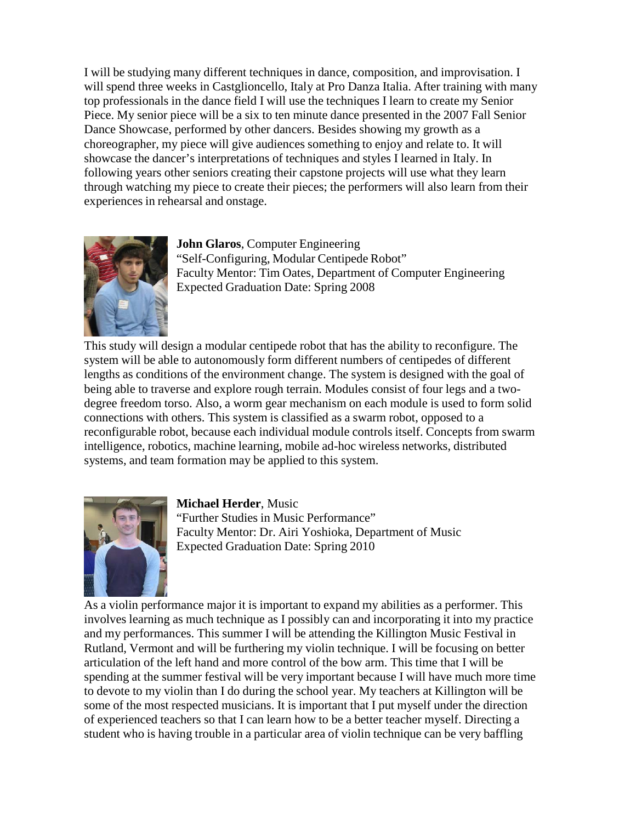I will be studying many different techniques in dance, composition, and improvisation. I will spend three weeks in Castglioncello, Italy at Pro Danza Italia. After training with many top professionals in the dance field I will use the techniques I learn to create my Senior Piece. My senior piece will be a six to ten minute dance presented in the 2007 Fall Senior Dance Showcase, performed by other dancers. Besides showing my growth as a choreographer, my piece will give audiences something to enjoy and relate to. It will showcase the dancer's interpretations of techniques and styles I learned in Italy. In following years other seniors creating their capstone projects will use what they learn through watching my piece to create their pieces; the performers will also learn from their experiences in rehearsal and onstage.



**John Glaros**, Computer Engineering "Self-Configuring, Modular Centipede Robot" Faculty Mentor: Tim Oates, Department of Computer Engineering Expected Graduation Date: Spring 2008

This study will design a modular centipede robot that has the ability to reconfigure. The system will be able to autonomously form different numbers of centipedes of different lengths as conditions of the environment change. The system is designed with the goal of being able to traverse and explore rough terrain. Modules consist of four legs and a twodegree freedom torso. Also, a worm gear mechanism on each module is used to form solid connections with others. This system is classified as a swarm robot, opposed to a reconfigurable robot, because each individual module controls itself. Concepts from swarm intelligence, robotics, machine learning, mobile ad-hoc wireless networks, distributed systems, and team formation may be applied to this system.



#### **Michael Herder**, Music

"Further Studies in Music Performance" Faculty Mentor: Dr. Airi Yoshioka, Department of Music Expected Graduation Date: Spring 2010

As a violin performance major it is important to expand my abilities as a performer. This involves learning as much technique as I possibly can and incorporating it into my practice and my performances. This summer I will be attending the Killington Music Festival in Rutland, Vermont and will be furthering my violin technique. I will be focusing on better articulation of the left hand and more control of the bow arm. This time that I will be spending at the summer festival will be very important because I will have much more time to devote to my violin than I do during the school year. My teachers at Killington will be some of the most respected musicians. It is important that I put myself under the direction of experienced teachers so that I can learn how to be a better teacher myself. Directing a student who is having trouble in a particular area of violin technique can be very baffling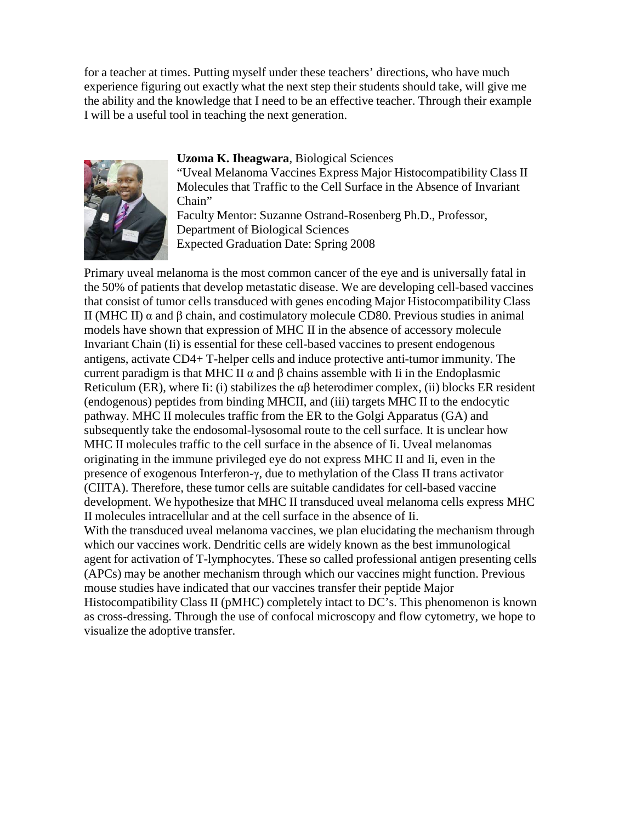for a teacher at times. Putting myself under these teachers' directions, who have much experience figuring out exactly what the next step their students should take, will give me the ability and the knowledge that I need to be an effective teacher. Through their example I will be a useful tool in teaching the next generation.



#### **Uzoma K. Iheagwara**, Biological Sciences

"Uveal Melanoma Vaccines Express Major Histocompatibility Class II Molecules that Traffic to the Cell Surface in the Absence of Invariant Chain"

Faculty Mentor: Suzanne Ostrand-Rosenberg Ph.D., Professor, Department of Biological Sciences Expected Graduation Date: Spring 2008

Primary uveal melanoma is the most common cancer of the eye and is universally fatal in the 50% of patients that develop metastatic disease. We are developing cell-based vaccines that consist of tumor cells transduced with genes encoding Major Histocompatibility Class II (MHC II)  $\alpha$  and β chain, and costimulatory molecule CD80. Previous studies in animal models have shown that expression of MHC II in the absence of accessory molecule Invariant Chain (Ii) is essential for these cell-based vaccines to present endogenous antigens, activate CD4+ T-helper cells and induce protective anti-tumor immunity. The current paradigm is that MHC II  $\alpha$  and  $\beta$  chains assemble with Ii in the Endoplasmic Reticulum (ER), where Ii: (i) stabilizes the  $\alpha\beta$  heterodimer complex, (ii) blocks ER resident (endogenous) peptides from binding MHCII, and (iii) targets MHC II to the endocytic pathway. MHC II molecules traffic from the ER to the Golgi Apparatus (GA) and subsequently take the endosomal-lysosomal route to the cell surface. It is unclear how MHC II molecules traffic to the cell surface in the absence of Ii. Uveal melanomas originating in the immune privileged eye do not express MHC II and Ii, even in the presence of exogenous Interferon-γ, due to methylation of the Class II trans activator (CIITA). Therefore, these tumor cells are suitable candidates for cell-based vaccine development. We hypothesize that MHC II transduced uveal melanoma cells express MHC II molecules intracellular and at the cell surface in the absence of Ii. With the transduced uveal melanoma vaccines, we plan elucidating the mechanism through which our vaccines work. Dendritic cells are widely known as the best immunological agent for activation of T-lymphocytes. These so called professional antigen presenting cells (APCs) may be another mechanism through which our vaccines might function. Previous mouse studies have indicated that our vaccines transfer their peptide Major Histocompatibility Class II (pMHC) completely intact to DC's. This phenomenon is known as cross-dressing. Through the use of confocal microscopy and flow cytometry, we hope to visualize the adoptive transfer.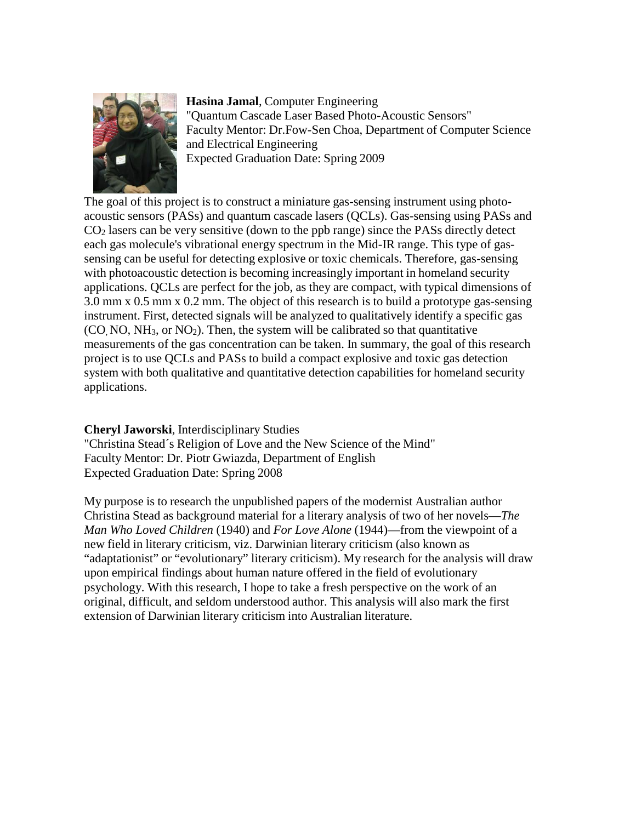

**Hasina Jamal**, Computer Engineering "Quantum Cascade Laser Based Photo-Acoustic Sensors" Faculty Mentor: Dr.Fow-Sen Choa, Department of Computer Science and Electrical Engineering Expected Graduation Date: Spring 2009

The goal of this project is to construct a miniature gas-sensing instrument using photoacoustic sensors (PASs) and quantum cascade lasers (QCLs). Gas-sensing using PASs and CO2 lasers can be very sensitive (down to the ppb range) since the PASs directly detect each gas molecule's vibrational energy spectrum in the Mid-IR range. This type of gassensing can be useful for detecting explosive or toxic chemicals. Therefore, gas-sensing with photoacoustic detection is becoming increasingly important in homeland security applications. QCLs are perfect for the job, as they are compact, with typical dimensions of 3.0 mm x 0.5 mm x 0.2 mm. The object of this research is to build a prototype gas-sensing instrument. First, detected signals will be analyzed to qualitatively identify a specific gas  $(CO, NO, NH<sub>3</sub>, or NO<sub>2</sub>)$ . Then, the system will be calibrated so that quantitative measurements of the gas concentration can be taken. In summary, the goal of this research project is to use QCLs and PASs to build a compact explosive and toxic gas detection system with both qualitative and quantitative detection capabilities for homeland security applications.

# **Cheryl Jaworski**, Interdisciplinary Studies

"Christina Stead´s Religion of Love and the New Science of the Mind" Faculty Mentor: Dr. Piotr Gwiazda, Department of English Expected Graduation Date: Spring 2008

My purpose is to research the unpublished papers of the modernist Australian author Christina Stead as background material for a literary analysis of two of her novels—*The Man Who Loved Children* (1940) and *For Love Alone* (1944)—from the viewpoint of a new field in literary criticism, viz. Darwinian literary criticism (also known as "adaptationist" or "evolutionary" literary criticism). My research for the analysis will draw upon empirical findings about human nature offered in the field of evolutionary psychology. With this research, I hope to take a fresh perspective on the work of an original, difficult, and seldom understood author. This analysis will also mark the first extension of Darwinian literary criticism into Australian literature.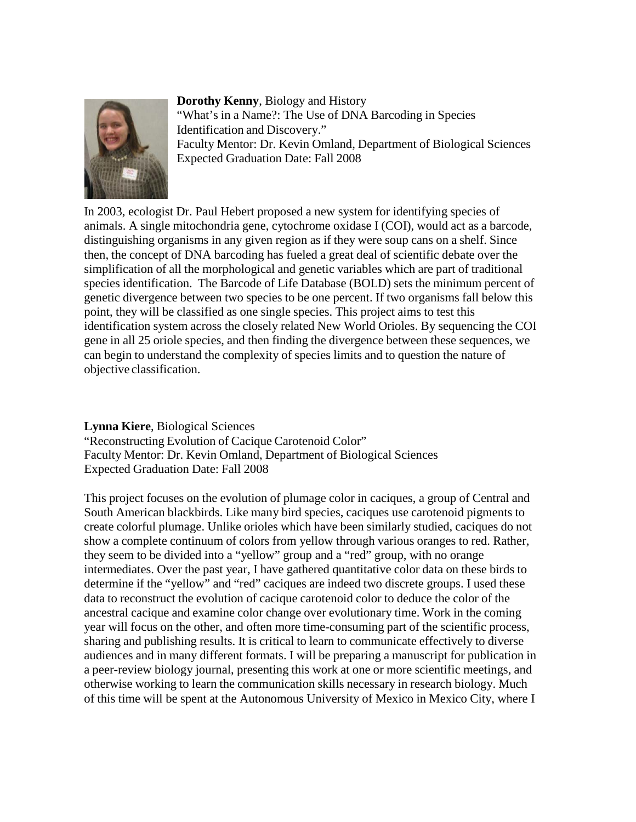

**Dorothy Kenny**, Biology and History "What's in a Name?: The Use of DNA Barcoding in Species Identification and Discovery." Faculty Mentor: Dr. Kevin Omland, Department of Biological Sciences Expected Graduation Date: Fall 2008

In 2003, ecologist Dr. Paul Hebert proposed a new system for identifying species of animals. A single mitochondria gene, cytochrome oxidase I (COI), would act as a barcode, distinguishing organisms in any given region as if they were soup cans on a shelf. Since then, the concept of DNA barcoding has fueled a great deal of scientific debate over the simplification of all the morphological and genetic variables which are part of traditional species identification. The Barcode of Life Database (BOLD) sets the minimum percent of genetic divergence between two species to be one percent. If two organisms fall below this point, they will be classified as one single species. This project aims to test this identification system across the closely related New World Orioles. By sequencing the COI gene in all 25 oriole species, and then finding the divergence between these sequences, we can begin to understand the complexity of species limits and to question the nature of objective classification.

#### **Lynna Kiere**, Biological Sciences

"Reconstructing Evolution of Cacique Carotenoid Color" Faculty Mentor: Dr. Kevin Omland, Department of Biological Sciences Expected Graduation Date: Fall 2008

This project focuses on the evolution of plumage color in caciques, a group of Central and South American blackbirds. Like many bird species, caciques use carotenoid pigments to create colorful plumage. Unlike orioles which have been similarly studied, caciques do not show a complete continuum of colors from yellow through various oranges to red. Rather, they seem to be divided into a "yellow" group and a "red" group, with no orange intermediates. Over the past year, I have gathered quantitative color data on these birds to determine if the "yellow" and "red" caciques are indeed two discrete groups. I used these data to reconstruct the evolution of cacique carotenoid color to deduce the color of the ancestral cacique and examine color change over evolutionary time. Work in the coming year will focus on the other, and often more time-consuming part of the scientific process, sharing and publishing results. It is critical to learn to communicate effectively to diverse audiences and in many different formats. I will be preparing a manuscript for publication in a peer-review biology journal, presenting this work at one or more scientific meetings, and otherwise working to learn the communication skills necessary in research biology. Much of this time will be spent at the Autonomous University of Mexico in Mexico City, where I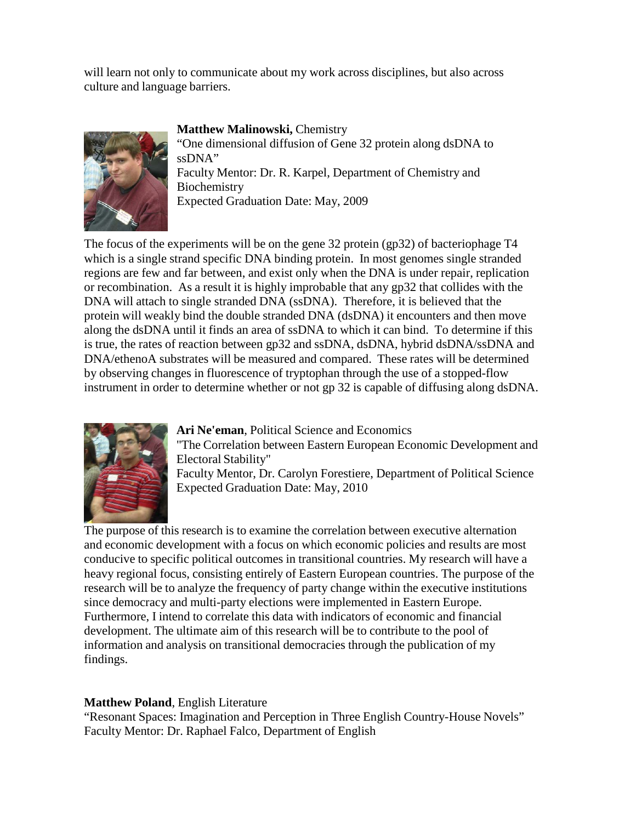will learn not only to communicate about my work across disciplines, but also across culture and language barriers.



**Matthew Malinowski,** Chemistry

"One dimensional diffusion of Gene 32 protein along dsDNA to ssDNA" Faculty Mentor: Dr. R. Karpel, Department of Chemistry and Biochemistry Expected Graduation Date: May, 2009

The focus of the experiments will be on the gene 32 protein (gp32) of bacteriophage T4 which is a single strand specific DNA binding protein. In most genomes single stranded regions are few and far between, and exist only when the DNA is under repair, replication or recombination. As a result it is highly improbable that any gp32 that collides with the DNA will attach to single stranded DNA (ssDNA). Therefore, it is believed that the protein will weakly bind the double stranded DNA (dsDNA) it encounters and then move along the dsDNA until it finds an area of ssDNA to which it can bind. To determine if this is true, the rates of reaction between gp32 and ssDNA, dsDNA, hybrid dsDNA/ssDNA and DNA/ethenoA substrates will be measured and compared. These rates will be determined by observing changes in fluorescence of tryptophan through the use of a stopped-flow instrument in order to determine whether or not gp 32 is capable of diffusing along dsDNA.



**Ari Ne'eman**, Political Science and Economics

"The Correlation between Eastern European Economic Development and Electoral Stability"

Faculty Mentor, Dr. Carolyn Forestiere, Department of Political Science Expected Graduation Date: May, 2010

The purpose of this research is to examine the correlation between executive alternation and economic development with a focus on which economic policies and results are most conducive to specific political outcomes in transitional countries. My research will have a heavy regional focus, consisting entirely of Eastern European countries. The purpose of the research will be to analyze the frequency of party change within the executive institutions since democracy and multi-party elections were implemented in Eastern Europe. Furthermore, I intend to correlate this data with indicators of economic and financial development. The ultimate aim of this research will be to contribute to the pool of information and analysis on transitional democracies through the publication of my findings.

# **Matthew Poland**, English Literature

"Resonant Spaces: Imagination and Perception in Three English Country-House Novels" Faculty Mentor: Dr. Raphael Falco, Department of English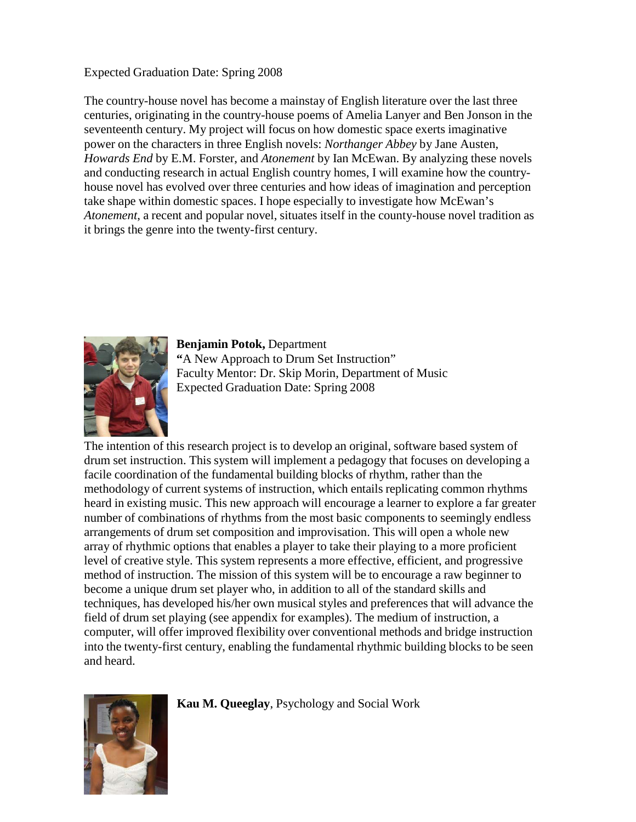### Expected Graduation Date: Spring 2008

The country-house novel has become a mainstay of English literature over the last three centuries, originating in the country-house poems of Amelia Lanyer and Ben Jonson in the seventeenth century. My project will focus on how domestic space exerts imaginative power on the characters in three English novels: *Northanger Abbey* by Jane Austen, *Howards End* by E.M. Forster, and *Atonement* by Ian McEwan. By analyzing these novels and conducting research in actual English country homes, I will examine how the countryhouse novel has evolved over three centuries and how ideas of imagination and perception take shape within domestic spaces. I hope especially to investigate how McEwan's *Atonement*, a recent and popular novel, situates itself in the county-house novel tradition as it brings the genre into the twenty-first century.



**Benjamin Potok,** Department **"**A New Approach to Drum Set Instruction" Faculty Mentor: Dr. Skip Morin, Department of Music Expected Graduation Date: Spring 2008

The intention of this research project is to develop an original, software based system of drum set instruction. This system will implement a pedagogy that focuses on developing a facile coordination of the fundamental building blocks of rhythm, rather than the methodology of current systems of instruction, which entails replicating common rhythms heard in existing music. This new approach will encourage a learner to explore a far greater number of combinations of rhythms from the most basic components to seemingly endless arrangements of drum set composition and improvisation. This will open a whole new array of rhythmic options that enables a player to take their playing to a more proficient level of creative style. This system represents a more effective, efficient, and progressive method of instruction. The mission of this system will be to encourage a raw beginner to become a unique drum set player who, in addition to all of the standard skills and techniques, has developed his/her own musical styles and preferences that will advance the field of drum set playing (see appendix for examples). The medium of instruction, a computer, will offer improved flexibility over conventional methods and bridge instruction into the twenty-first century, enabling the fundamental rhythmic building blocks to be seen and heard.



**Kau M. Queeglay**, Psychology and Social Work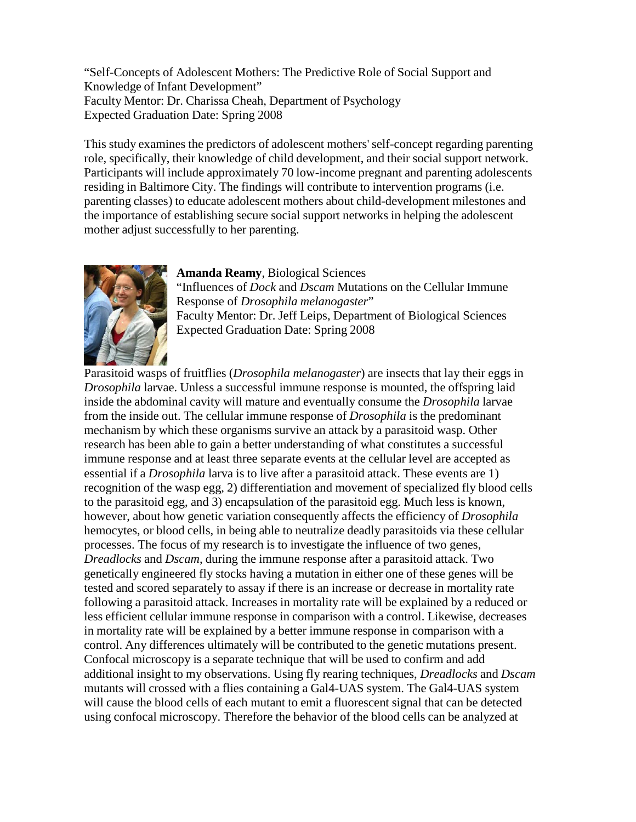"Self-Concepts of Adolescent Mothers: The Predictive Role of Social Support and Knowledge of Infant Development" Faculty Mentor: Dr. Charissa Cheah, Department of Psychology Expected Graduation Date: Spring 2008

This study examines the predictors of adolescent mothers' self-concept regarding parenting role, specifically, their knowledge of child development, and their social support network. Participants will include approximately 70 low-income pregnant and parenting adolescents residing in Baltimore City. The findings will contribute to intervention programs (i.e. parenting classes) to educate adolescent mothers about child-development milestones and the importance of establishing secure social support networks in helping the adolescent mother adjust successfully to her parenting.



**Amanda Reamy**, Biological Sciences

"Influences of *Dock* and *Dscam* Mutations on the Cellular Immune Response of *Drosophila melanogaster*" Faculty Mentor: Dr. Jeff Leips, Department of Biological Sciences Expected Graduation Date: Spring 2008

Parasitoid wasps of fruitflies (*Drosophila melanogaster*) are insects that lay their eggs in *Drosophila* larvae. Unless a successful immune response is mounted, the offspring laid inside the abdominal cavity will mature and eventually consume the *Drosophila* larvae from the inside out. The cellular immune response of *Drosophila* is the predominant mechanism by which these organisms survive an attack by a parasitoid wasp. Other research has been able to gain a better understanding of what constitutes a successful immune response and at least three separate events at the cellular level are accepted as essential if a *Drosophila* larva is to live after a parasitoid attack. These events are 1) recognition of the wasp egg, 2) differentiation and movement of specialized fly blood cells to the parasitoid egg, and 3) encapsulation of the parasitoid egg. Much less is known, however, about how genetic variation consequently affects the efficiency of *Drosophila*  hemocytes, or blood cells, in being able to neutralize deadly parasitoids via these cellular processes. The focus of my research is to investigate the influence of two genes, *Dreadlocks* and *Dscam*, during the immune response after a parasitoid attack. Two genetically engineered fly stocks having a mutation in either one of these genes will be tested and scored separately to assay if there is an increase or decrease in mortality rate following a parasitoid attack. Increases in mortality rate will be explained by a reduced or less efficient cellular immune response in comparison with a control. Likewise, decreases in mortality rate will be explained by a better immune response in comparison with a control. Any differences ultimately will be contributed to the genetic mutations present. Confocal microscopy is a separate technique that will be used to confirm and add additional insight to my observations. Using fly rearing techniques, *Dreadlocks* and *Dscam*  mutants will crossed with a flies containing a Gal4-UAS system. The Gal4-UAS system will cause the blood cells of each mutant to emit a fluorescent signal that can be detected using confocal microscopy. Therefore the behavior of the blood cells can be analyzed at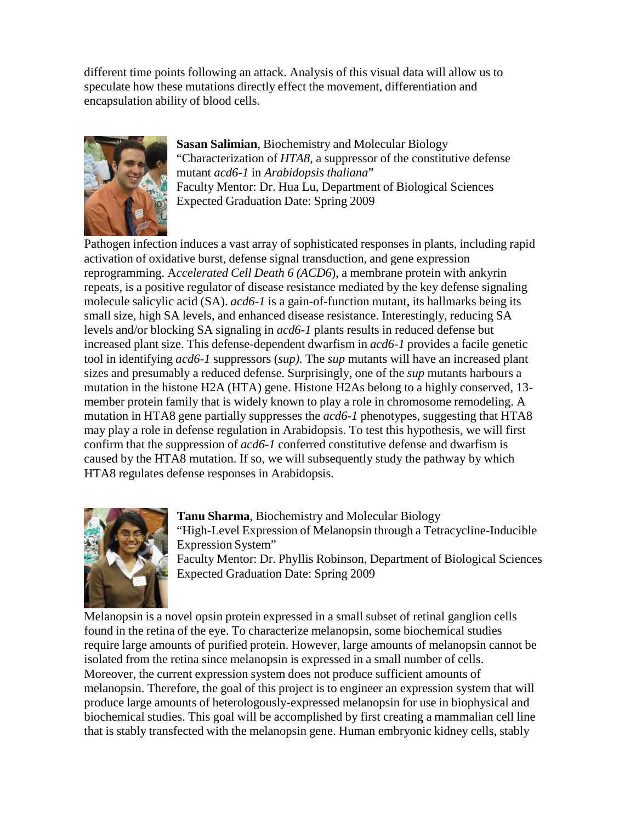different time points following an attack. Analysis of this visual data will allow us to speculate how these mutations directly effect the movement, differentiation and encapsulation ability of blood cells.



**Sasan Salimian**, Biochemistry and Molecular Biology "Characterization of *HTA8*, a suppressor of the constitutive defense mutant *acd6-1* in *Arabidopsis thaliana*" Faculty Mentor: Dr. Hua Lu, Department of Biological Sciences Expected Graduation Date: Spring 2009

Pathogen infection induces a vast array of sophisticated responses in plants, including rapid activation of oxidative burst, defense signal transduction, and gene expression reprogramming. A*ccelerated Cell Death 6 (ACD6*), a membrane protein with ankyrin repeats, is a positive regulator of disease resistance mediated by the key defense signaling molecule salicylic acid (SA). *acd6-1* is a gain-of-function mutant, its hallmarks being its small size, high SA levels, and enhanced disease resistance. Interestingly, reducing SA levels and/or blocking SA signaling in *acd6-1* plants results in reduced defense but increased plant size. This defense-dependent dwarfism in *acd6-1* provides a facile genetic tool in identifying *acd6-1* suppressors (*sup)*. The *sup* mutants will have an increased plant sizes and presumably a reduced defense. Surprisingly, one of the *sup* mutants harbours a mutation in the histone H2A (HTA) gene. Histone H2As belong to a highly conserved, 13 member protein family that is widely known to play a role in chromosome remodeling. A mutation in HTA8 gene partially suppresses the *acd6-1* phenotypes, suggesting that HTA8 may play a role in defense regulation in Arabidopsis. To test this hypothesis, we will first confirm that the suppression of *acd6-1* conferred constitutive defense and dwarfism is caused by the HTA8 mutation. If so, we will subsequently study the pathway by which HTA8 regulates defense responses in Arabidopsis.



**Tanu Sharma**, Biochemistry and Molecular Biology "High-Level Expression of Melanopsin through a Tetracycline-Inducible Expression System" Faculty Mentor: Dr. Phyllis Robinson, Department of Biological Sciences Expected Graduation Date: Spring 2009

Melanopsin is a novel opsin protein expressed in a small subset of retinal ganglion cells found in the retina of the eye. To characterize melanopsin, some biochemical studies require large amounts of purified protein. However, large amounts of melanopsin cannot be isolated from the retina since melanopsin is expressed in a small number of cells. Moreover, the current expression system does not produce sufficient amounts of melanopsin. Therefore, the goal of this project is to engineer an expression system that will produce large amounts of heterologously-expressed melanopsin for use in biophysical and biochemical studies. This goal will be accomplished by first creating a mammalian cell line that is stably transfected with the melanopsin gene. Human embryonic kidney cells, stably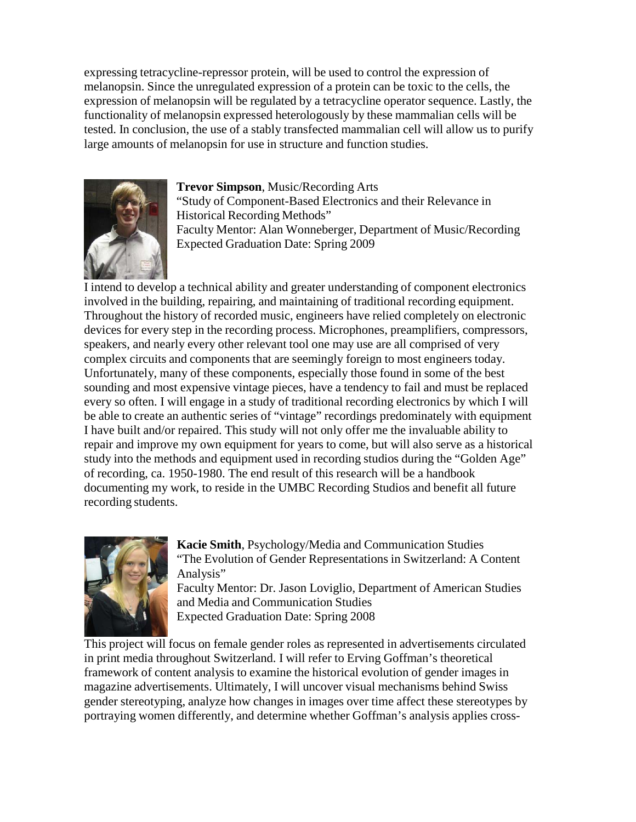expressing tetracycline-repressor protein, will be used to control the expression of melanopsin. Since the unregulated expression of a protein can be toxic to the cells, the expression of melanopsin will be regulated by a tetracycline operator sequence. Lastly, the functionality of melanopsin expressed heterologously by these mammalian cells will be tested. In conclusion, the use of a stably transfected mammalian cell will allow us to purify large amounts of melanopsin for use in structure and function studies.



**Trevor Simpson**, Music/Recording Arts "Study of Component-Based Electronics and their Relevance in Historical Recording Methods" Faculty Mentor: Alan Wonneberger, Department of Music/Recording Expected Graduation Date: Spring 2009

I intend to develop a technical ability and greater understanding of component electronics involved in the building, repairing, and maintaining of traditional recording equipment. Throughout the history of recorded music, engineers have relied completely on electronic devices for every step in the recording process. Microphones, preamplifiers, compressors, speakers, and nearly every other relevant tool one may use are all comprised of very complex circuits and components that are seemingly foreign to most engineers today. Unfortunately, many of these components, especially those found in some of the best sounding and most expensive vintage pieces, have a tendency to fail and must be replaced every so often. I will engage in a study of traditional recording electronics by which I will be able to create an authentic series of "vintage" recordings predominately with equipment I have built and/or repaired. This study will not only offer me the invaluable ability to repair and improve my own equipment for years to come, but will also serve as a historical study into the methods and equipment used in recording studios during the "Golden Age" of recording, ca. 1950-1980. The end result of this research will be a handbook documenting my work, to reside in the UMBC Recording Studios and benefit all future recording students.



**Kacie Smith**, Psychology/Media and Communication Studies "The Evolution of Gender Representations in Switzerland: A Content Analysis"

Faculty Mentor: Dr. Jason Loviglio, Department of American Studies and Media and Communication Studies Expected Graduation Date: Spring 2008

This project will focus on female gender roles as represented in advertisements circulated in print media throughout Switzerland. I will refer to Erving Goffman's theoretical framework of content analysis to examine the historical evolution of gender images in magazine advertisements. Ultimately, I will uncover visual mechanisms behind Swiss gender stereotyping, analyze how changes in images over time affect these stereotypes by portraying women differently, and determine whether Goffman's analysis applies cross